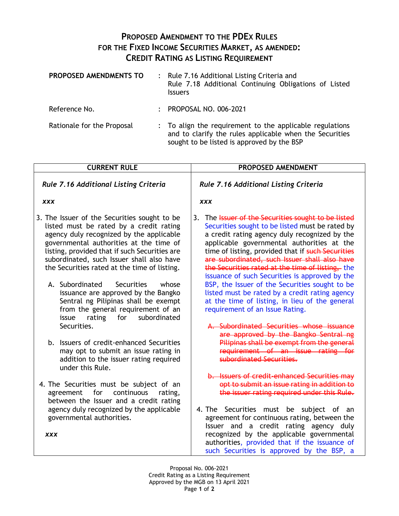## **PROPOSED AMENDMENT TO THE PDEX RULES FOR THE FIXED INCOME SECURITIES MARKET, AS AMENDED: CREDIT RATING AS LISTING REQUIREMENT**

| PROPOSED AMENDMENTS TO     | : Rule 7.16 Additional Listing Criteria and<br>Rule 7.18 Additional Continuing Obligations of Listed<br><b>Issuers</b>                                            |
|----------------------------|-------------------------------------------------------------------------------------------------------------------------------------------------------------------|
| Reference No.              | : PROPOSAL NO. 006-2021                                                                                                                                           |
| Rationale for the Proposal | : To align the requirement to the applicable regulations<br>and to clarify the rules applicable when the Securities<br>sought to be listed is approved by the BSP |

| <b>CURRENT RULE</b>                                                                                                                                                                                                                                                                                                                                                                                                  | PROPOSED AMENDMENT                                                                                                                                                                                                                                                                                                                                                                                                                                                                                                    |  |
|----------------------------------------------------------------------------------------------------------------------------------------------------------------------------------------------------------------------------------------------------------------------------------------------------------------------------------------------------------------------------------------------------------------------|-----------------------------------------------------------------------------------------------------------------------------------------------------------------------------------------------------------------------------------------------------------------------------------------------------------------------------------------------------------------------------------------------------------------------------------------------------------------------------------------------------------------------|--|
| <b>Rule 7.16 Additional Listing Criteria</b>                                                                                                                                                                                                                                                                                                                                                                         | Rule 7.16 Additional Listing Criteria                                                                                                                                                                                                                                                                                                                                                                                                                                                                                 |  |
| <b>XXX</b>                                                                                                                                                                                                                                                                                                                                                                                                           | <b>XXX</b>                                                                                                                                                                                                                                                                                                                                                                                                                                                                                                            |  |
| 3. The Issuer of the Securities sought to be<br>listed must be rated by a credit rating<br>agency duly recognized by the applicable<br>governmental authorities at the time of<br>listing, provided that if such Securities are<br>subordinated, such Issuer shall also have<br>the Securities rated at the time of listing.<br>A. Subordinated<br><b>Securities</b><br>whose<br>issuance are approved by the Bangko | 3. The Issuer of the Securities sought to be listed<br>Securities sought to be listed must be rated by<br>a credit rating agency duly recognized by the<br>applicable governmental authorities at the<br>time of listing, provided that if such Securities<br>are subordinated, such Issuer shall also have<br>the Securities rated at the time of listing, the<br>issuance of such Securities is approved by the<br>BSP, the Issuer of the Securities sought to be<br>listed must be rated by a credit rating agency |  |
| Sentral ng Pilipinas shall be exempt<br>from the general requirement of an<br>issue<br>rating<br>for<br>subordinated<br>Securities.                                                                                                                                                                                                                                                                                  | at the time of listing, in lieu of the general<br>requirement of an Issue Rating.<br>A. Subordinated Securities whose issuance<br>are approved by the Bangko Sentral ng                                                                                                                                                                                                                                                                                                                                               |  |
| b. Issuers of credit-enhanced Securities<br>may opt to submit an issue rating in<br>addition to the issuer rating required<br>under this Rule.                                                                                                                                                                                                                                                                       | Pilipinas shall be exempt from the general<br>requirement of an issue rating for<br>subordinated Securities.                                                                                                                                                                                                                                                                                                                                                                                                          |  |
| 4. The Securities must be subject of an<br>agreement for<br>continuous<br>rating,<br>between the Issuer and a credit rating                                                                                                                                                                                                                                                                                          | b. Issuers of credit-enhanced Securities may<br>opt to submit an issue rating in addition to<br>the issuer rating required under this Rule.                                                                                                                                                                                                                                                                                                                                                                           |  |
| agency duly recognized by the applicable<br>governmental authorities.<br><b>XXX</b>                                                                                                                                                                                                                                                                                                                                  | 4. The Securities must be subject of an<br>agreement for continuous rating, between the<br>Issuer and a credit rating agency duly<br>recognized by the applicable governmental<br>authorities, provided that if the issuance of<br>such Securities is approved by the BSP, a                                                                                                                                                                                                                                          |  |